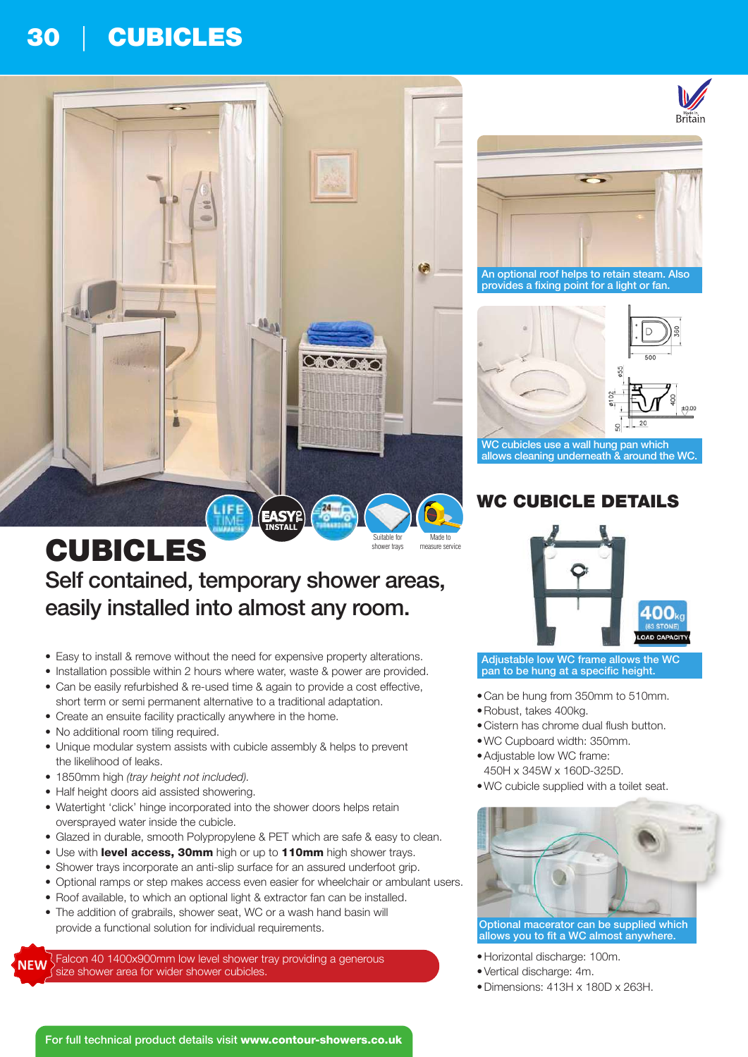# 30 | CUBICLES



## CUBICLES Self contained, temporary shower areas, easily installed into almost any room. measure service Suitable for shower trays

- Easy to install & remove without the need for expensive property alterations.
- Installation possible within 2 hours where water, waste & power are provided.
- Can be easily refurbished & re-used time & again to provide a cost effective, short term or semi permanent alternative to a traditional adaptation.
- Create an ensuite facility practically anywhere in the home.
- No additional room tiling required.
- Unique modular system assists with cubicle assembly & helps to prevent the likelihood of leaks.
- 1850mm high (tray height not included).
- Half height doors aid assisted showering.
- Watertight 'click' hinge incorporated into the shower doors helps retain oversprayed water inside the cubicle.
- Glazed in durable, smooth Polypropylene & PET which are safe & easy to clean.
- Use with level access, 30mm high or up to 110mm high shower trays.
- Shower trays incorporate an anti-slip surface for an assured underfoot grip.
- Optional ramps or step makes access even easier for wheelchair or ambulant users.
- Roof available, to which an optional light & extractor fan can be installed. • The addition of grabrails, shower seat, WC or a wash hand basin will
- provide a functional solution for individual requirements.

Falcon 40 1400x900mm low level shower tray providing a generous **NEW** size shower area for wider shower cubicles.



An optional roof helps to retain steam. Also provides a fixing point for a light or fan.



WC cubicles use a wall hung pan which allows cleaning underneath & around the WC.

# WC CUBICLE DETAILS



Adjustable low WC frame allows the WC pan to be hung at a specific height.

- •Can be hung from 350mm to 510mm.
- •Robust, takes 400kg.
- •Cistern has chrome dual flush button.
- •WC Cupboard width: 350mm.
- •Adjustable low WC frame: 450H x 345W x 160D-325D.
- •WC cubicle supplied with a toilet seat.



Optional macerator can be supplied which allows you to fit a WC almost anywhere.

- •Horizontal discharge: 100m.
- •Vertical discharge: 4m.
- •Dimensions: 413H x 180D x 263H.